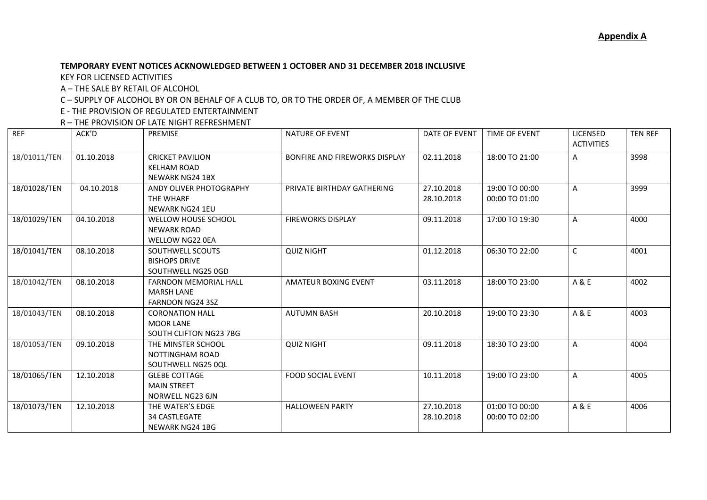## **TEMPORARY EVENT NOTICES ACKNOWLEDGED BETWEEN 1 OCTOBER AND 31 DECEMBER 2018 INCLUSIVE**

KEY FOR LICENSED ACTIVITIES

A – THE SALE BY RETAIL OF ALCOHOL

C – SUPPLY OF ALCOHOL BY OR ON BEHALF OF A CLUB TO, OR TO THE ORDER OF, A MEMBER OF THE CLUB

E - THE PROVISION OF REGULATED ENTERTAINMENT

R – THE PROVISION OF LATE NIGHT REFRESHMENT

| <b>REF</b>   | ACK'D      | <b>PREMISE</b>                                                               | <b>NATURE OF EVENT</b>        | DATE OF EVENT            | <b>TIME OF EVENT</b>             | <b>LICENSED</b><br><b>ACTIVITIES</b> | <b>TEN REF</b> |
|--------------|------------|------------------------------------------------------------------------------|-------------------------------|--------------------------|----------------------------------|--------------------------------------|----------------|
| 18/01011/TEN | 01.10.2018 | <b>CRICKET PAVILION</b><br><b>KELHAM ROAD</b><br><b>NEWARK NG24 1BX</b>      | BONFIRE AND FIREWORKS DISPLAY | 02.11.2018               | 18:00 TO 21:00                   | A                                    | 3998           |
| 18/01028/TEN | 04.10.2018 | ANDY OLIVER PHOTOGRAPHY<br>THE WHARF<br><b>NEWARK NG24 1EU</b>               | PRIVATE BIRTHDAY GATHERING    | 27.10.2018<br>28.10.2018 | 19:00 TO 00:00<br>00:00 TO 01:00 | A                                    | 3999           |
| 18/01029/TEN | 04.10.2018 | WELLOW HOUSE SCHOOL<br><b>NEWARK ROAD</b><br><b>WELLOW NG22 0EA</b>          | <b>FIREWORKS DISPLAY</b>      | 09.11.2018               | 17:00 TO 19:30                   | $\mathsf{A}$                         | 4000           |
| 18/01041/TEN | 08.10.2018 | SOUTHWELL SCOUTS<br><b>BISHOPS DRIVE</b><br>SOUTHWELL NG25 0GD               | <b>QUIZ NIGHT</b>             | 01.12.2018               | 06:30 TO 22:00                   | $\mathsf{C}$                         | 4001           |
| 18/01042/TEN | 08.10.2018 | <b>FARNDON MEMORIAL HALL</b><br><b>MARSH LANE</b><br><b>FARNDON NG24 3SZ</b> | <b>AMATEUR BOXING EVENT</b>   | 03.11.2018               | 18:00 TO 23:00                   | A & E                                | 4002           |
| 18/01043/TEN | 08.10.2018 | <b>CORONATION HALL</b><br><b>MOOR LANE</b><br>SOUTH CLIFTON NG23 7BG         | <b>AUTUMN BASH</b>            | 20.10.2018               | 19:00 TO 23:30                   | A & E                                | 4003           |
| 18/01053/TEN | 09.10.2018 | THE MINSTER SCHOOL<br>NOTTINGHAM ROAD<br>SOUTHWELL NG25 0QL                  | <b>QUIZ NIGHT</b>             | 09.11.2018               | 18:30 TO 23:00                   | A                                    | 4004           |
| 18/01065/TEN | 12.10.2018 | <b>GLEBE COTTAGE</b><br><b>MAIN STREET</b><br>NORWELL NG23 6JN               | <b>FOOD SOCIAL EVENT</b>      | 10.11.2018               | 19:00 TO 23:00                   | A                                    | 4005           |
| 18/01073/TEN | 12.10.2018 | THE WATER'S EDGE<br><b>34 CASTLEGATE</b><br>NEWARK NG24 1BG                  | <b>HALLOWEEN PARTY</b>        | 27.10.2018<br>28.10.2018 | 01:00 TO 00:00<br>00:00 TO 02:00 | A & E                                | 4006           |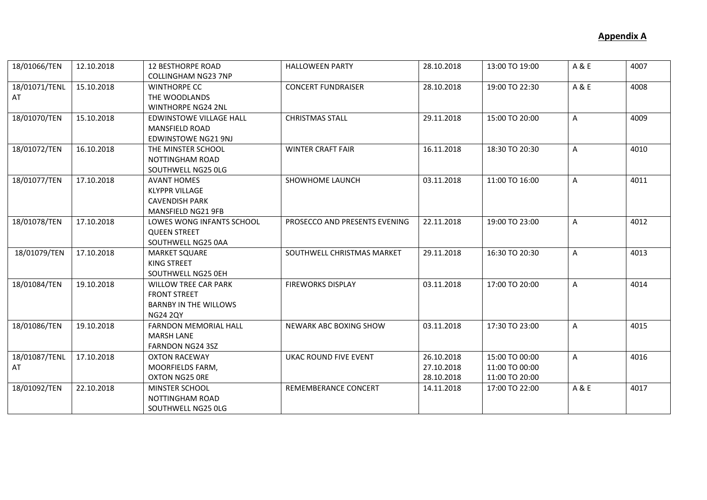| 18/01066/TEN        | 12.10.2018 | <b>12 BESTHORPE ROAD</b><br><b>COLLINGHAM NG23 7NP</b>                                                | <b>HALLOWEEN PARTY</b>        | 28.10.2018                             | 13:00 TO 19:00                                     | A & E        | 4007 |
|---------------------|------------|-------------------------------------------------------------------------------------------------------|-------------------------------|----------------------------------------|----------------------------------------------------|--------------|------|
| 18/01071/TENL<br>AT | 15.10.2018 | <b>WINTHORPE CC</b><br>THE WOODLANDS<br><b>WINTHORPE NG24 2NL</b>                                     | <b>CONCERT FUNDRAISER</b>     | 28.10.2018                             | 19:00 TO 22:30                                     | A & E        | 4008 |
| 18/01070/TEN        | 15.10.2018 | <b>EDWINSTOWE VILLAGE HALL</b><br><b>MANSFIELD ROAD</b><br><b>EDWINSTOWE NG21 9NJ</b>                 | <b>CHRISTMAS STALL</b>        | 29.11.2018                             | 15:00 TO 20:00                                     | A            | 4009 |
| 18/01072/TEN        | 16.10.2018 | THE MINSTER SCHOOL<br>NOTTINGHAM ROAD<br>SOUTHWELL NG25 OLG                                           | <b>WINTER CRAFT FAIR</b>      | 16.11.2018                             | 18:30 TO 20:30                                     | A            | 4010 |
| 18/01077/TEN        | 17.10.2018 | <b>AVANT HOMES</b><br><b>KLYPPR VILLAGE</b><br><b>CAVENDISH PARK</b><br>MANSFIELD NG21 9FB            | SHOWHOME LAUNCH               | 03.11.2018                             | 11:00 TO 16:00                                     | $\mathsf{A}$ | 4011 |
| 18/01078/TEN        | 17.10.2018 | LOWES WONG INFANTS SCHOOL<br><b>QUEEN STREET</b><br>SOUTHWELL NG25 0AA                                | PROSECCO AND PRESENTS EVENING | 22.11.2018                             | 19:00 TO 23:00                                     | A            | 4012 |
| 18/01079/TEN        | 17.10.2018 | <b>MARKET SQUARE</b><br>KING STREET<br>SOUTHWELL NG25 0EH                                             | SOUTHWELL CHRISTMAS MARKET    | 29.11.2018                             | 16:30 TO 20:30                                     | A            | 4013 |
| 18/01084/TEN        | 19.10.2018 | <b>WILLOW TREE CAR PARK</b><br><b>FRONT STREET</b><br><b>BARNBY IN THE WILLOWS</b><br><b>NG24 2QY</b> | <b>FIREWORKS DISPLAY</b>      | 03.11.2018                             | 17:00 TO 20:00                                     | $\mathsf{A}$ | 4014 |
| 18/01086/TEN        | 19.10.2018 | <b>FARNDON MEMORIAL HALL</b><br><b>MARSH LANE</b><br>FARNDON NG24 3SZ                                 | NEWARK ABC BOXING SHOW        | 03.11.2018                             | 17:30 TO 23:00                                     | A            | 4015 |
| 18/01087/TENL<br>AT | 17.10.2018 | <b>OXTON RACEWAY</b><br>MOORFIELDS FARM,<br>OXTON NG25 ORE                                            | <b>UKAC ROUND FIVE EVENT</b>  | 26.10.2018<br>27.10.2018<br>28.10.2018 | 15:00 TO 00:00<br>11:00 TO 00:00<br>11:00 TO 20:00 | $\mathsf{A}$ | 4016 |
| 18/01092/TEN        | 22.10.2018 | MINSTER SCHOOL<br>NOTTINGHAM ROAD<br>SOUTHWELL NG25 OLG                                               | REMEMBERANCE CONCERT          | 14.11.2018                             | 17:00 TO 22:00                                     | A & E        | 4017 |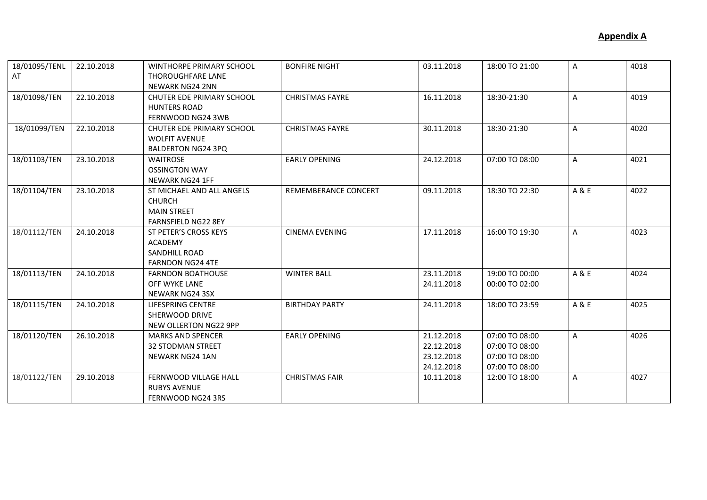| 18/01095/TENL<br>AT | 22.10.2018 | <b>WINTHORPE PRIMARY SCHOOL</b><br><b>THOROUGHFARE LANE</b><br><b>NEWARK NG24 2NN</b>          | <b>BONFIRE NIGHT</b>   | 03.11.2018                                           | 18:00 TO 21:00                                                       | $\mathsf{A}$ | 4018 |
|---------------------|------------|------------------------------------------------------------------------------------------------|------------------------|------------------------------------------------------|----------------------------------------------------------------------|--------------|------|
| 18/01098/TEN        | 22.10.2018 | <b>CHUTER EDE PRIMARY SCHOOL</b><br><b>HUNTERS ROAD</b><br>FERNWOOD NG24 3WB                   | <b>CHRISTMAS FAYRE</b> | 16.11.2018                                           | 18:30-21:30                                                          | A            | 4019 |
| 18/01099/TEN        | 22.10.2018 | CHUTER EDE PRIMARY SCHOOL<br><b>WOLFIT AVENUE</b><br><b>BALDERTON NG24 3PQ</b>                 | <b>CHRISTMAS FAYRE</b> | 30.11.2018                                           | 18:30-21:30                                                          | A            | 4020 |
| 18/01103/TEN        | 23.10.2018 | <b>WAITROSE</b><br><b>OSSINGTON WAY</b><br><b>NEWARK NG24 1FF</b>                              | <b>EARLY OPENING</b>   | 24.12.2018                                           | 07:00 TO 08:00                                                       | $\mathsf{A}$ | 4021 |
| 18/01104/TEN        | 23.10.2018 | ST MICHAEL AND ALL ANGELS<br><b>CHURCH</b><br><b>MAIN STREET</b><br><b>FARNSFIELD NG22 8EY</b> | REMEMBERANCE CONCERT   | 09.11.2018                                           | 18:30 TO 22:30                                                       | A & E        | 4022 |
| 18/01112/TEN        | 24.10.2018 | ST PETER'S CROSS KEYS<br><b>ACADEMY</b><br><b>SANDHILL ROAD</b><br><b>FARNDON NG24 4TE</b>     | <b>CINEMA EVENING</b>  | 17.11.2018                                           | 16:00 TO 19:30                                                       | $\mathsf{A}$ | 4023 |
| 18/01113/TEN        | 24.10.2018 | <b>FARNDON BOATHOUSE</b><br>OFF WYKE LANE<br><b>NEWARK NG24 3SX</b>                            | <b>WINTER BALL</b>     | 23.11.2018<br>24.11.2018                             | 19:00 TO 00:00<br>00:00 TO 02:00                                     | A & E        | 4024 |
| 18/01115/TEN        | 24.10.2018 | LIFESPRING CENTRE<br>SHERWOOD DRIVE<br>NEW OLLERTON NG22 9PP                                   | <b>BIRTHDAY PARTY</b>  | 24.11.2018                                           | 18:00 TO 23:59                                                       | A & E        | 4025 |
| 18/01120/TEN        | 26.10.2018 | <b>MARKS AND SPENCER</b><br><b>32 STODMAN STREET</b><br><b>NEWARK NG24 1AN</b>                 | <b>EARLY OPENING</b>   | 21.12.2018<br>22.12.2018<br>23.12.2018<br>24.12.2018 | 07:00 TO 08:00<br>07:00 TO 08:00<br>07:00 TO 08:00<br>07:00 TO 08:00 | A            | 4026 |
| 18/01122/TEN        | 29.10.2018 | <b>FERNWOOD VILLAGE HALL</b><br><b>RUBYS AVENUE</b><br>FERNWOOD NG24 3RS                       | <b>CHRISTMAS FAIR</b>  | 10.11.2018                                           | 12:00 TO 18:00                                                       | A            | 4027 |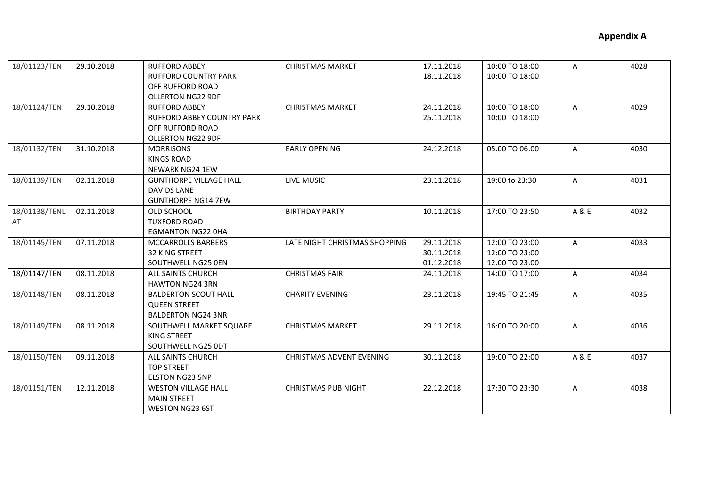| 18/01123/TEN  | 29.10.2018 | <b>RUFFORD ABBEY</b>          | <b>CHRISTMAS MARKET</b>         | 17.11.2018 | 10:00 TO 18:00 | A              | 4028 |
|---------------|------------|-------------------------------|---------------------------------|------------|----------------|----------------|------|
|               |            | <b>RUFFORD COUNTRY PARK</b>   |                                 | 18.11.2018 | 10:00 TO 18:00 |                |      |
|               |            | OFF RUFFORD ROAD              |                                 |            |                |                |      |
|               |            | <b>OLLERTON NG22 9DF</b>      |                                 |            |                |                |      |
| 18/01124/TEN  | 29.10.2018 | <b>RUFFORD ABBEY</b>          | <b>CHRISTMAS MARKET</b>         | 24.11.2018 | 10:00 TO 18:00 | $\mathsf{A}$   | 4029 |
|               |            | RUFFORD ABBEY COUNTRY PARK    |                                 | 25.11.2018 | 10:00 TO 18:00 |                |      |
|               |            | OFF RUFFORD ROAD              |                                 |            |                |                |      |
|               |            | <b>OLLERTON NG22 9DF</b>      |                                 |            |                |                |      |
| 18/01132/TEN  | 31.10.2018 | <b>MORRISONS</b>              | <b>EARLY OPENING</b>            | 24.12.2018 | 05:00 TO 06:00 | $\mathsf{A}$   | 4030 |
|               |            | <b>KINGS ROAD</b>             |                                 |            |                |                |      |
|               |            | NEWARK NG24 1EW               |                                 |            |                |                |      |
| 18/01139/TEN  | 02.11.2018 | <b>GUNTHORPE VILLAGE HALL</b> | LIVE MUSIC                      | 23.11.2018 | 19:00 to 23:30 | A              | 4031 |
|               |            | <b>DAVIDS LANE</b>            |                                 |            |                |                |      |
|               |            | <b>GUNTHORPE NG14 7EW</b>     |                                 |            |                |                |      |
| 18/01138/TENL | 02.11.2018 | OLD SCHOOL                    | <b>BIRTHDAY PARTY</b>           | 10.11.2018 | 17:00 TO 23:50 | A & E          | 4032 |
| AT            |            | <b>TUXFORD ROAD</b>           |                                 |            |                |                |      |
|               |            | <b>EGMANTON NG22 OHA</b>      |                                 |            |                |                |      |
| 18/01145/TEN  | 07.11.2018 | MCCARROLLS BARBERS            | LATE NIGHT CHRISTMAS SHOPPING   | 29.11.2018 | 12:00 TO 23:00 | $\overline{A}$ | 4033 |
|               |            | <b>32 KING STREET</b>         |                                 | 30.11.2018 | 12:00 TO 23:00 |                |      |
|               |            | SOUTHWELL NG25 0EN            |                                 | 01.12.2018 | 12:00 TO 23:00 |                |      |
| 18/01147/TEN  | 08.11.2018 | ALL SAINTS CHURCH             | <b>CHRISTMAS FAIR</b>           | 24.11.2018 | 14:00 TO 17:00 | A              | 4034 |
|               |            | <b>HAWTON NG24 3RN</b>        |                                 |            |                |                |      |
| 18/01148/TEN  | 08.11.2018 | <b>BALDERTON SCOUT HALL</b>   | <b>CHARITY EVENING</b>          | 23.11.2018 | 19:45 TO 21:45 | $\mathsf{A}$   | 4035 |
|               |            | <b>QUEEN STREET</b>           |                                 |            |                |                |      |
|               |            | <b>BALDERTON NG24 3NR</b>     |                                 |            |                |                |      |
| 18/01149/TEN  | 08.11.2018 | SOUTHWELL MARKET SQUARE       | <b>CHRISTMAS MARKET</b>         | 29.11.2018 | 16:00 TO 20:00 | $\mathsf{A}$   | 4036 |
|               |            | KING STREET                   |                                 |            |                |                |      |
|               |            | SOUTHWELL NG25 ODT            |                                 |            |                |                |      |
| 18/01150/TEN  | 09.11.2018 | ALL SAINTS CHURCH             | <b>CHRISTMAS ADVENT EVENING</b> | 30.11.2018 | 19:00 TO 22:00 | A & E          | 4037 |
|               |            | <b>TOP STREET</b>             |                                 |            |                |                |      |
|               |            | <b>ELSTON NG23 5NP</b>        |                                 |            |                |                |      |
| 18/01151/TEN  | 12.11.2018 | <b>WESTON VILLAGE HALL</b>    | <b>CHRISTMAS PUB NIGHT</b>      | 22.12.2018 | 17:30 TO 23:30 | $\mathsf{A}$   | 4038 |
|               |            | <b>MAIN STREET</b>            |                                 |            |                |                |      |
|               |            | <b>WESTON NG23 6ST</b>        |                                 |            |                |                |      |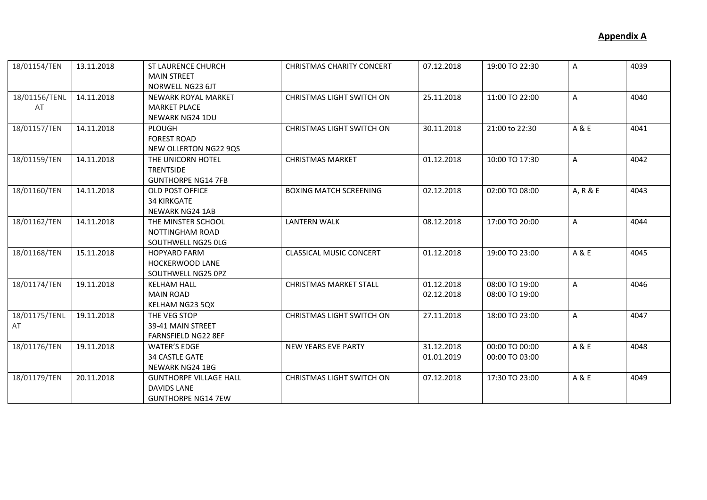| 18/01154/TEN        | 13.11.2018 | <b>ST LAURENCE CHURCH</b><br><b>MAIN STREET</b><br>NORWELL NG23 6JT              | <b>CHRISTMAS CHARITY CONCERT</b> | 07.12.2018               | 19:00 TO 22:30                   | $\mathsf{A}$   | 4039 |
|---------------------|------------|----------------------------------------------------------------------------------|----------------------------------|--------------------------|----------------------------------|----------------|------|
| 18/01156/TENL<br>AT | 14.11.2018 | NEWARK ROYAL MARKET<br><b>MARKET PLACE</b><br>NEWARK NG24 1DU                    | <b>CHRISTMAS LIGHT SWITCH ON</b> | 25.11.2018               | 11:00 TO 22:00                   | $\mathsf{A}$   | 4040 |
| 18/01157/TEN        | 14.11.2018 | PLOUGH<br><b>FOREST ROAD</b><br>NEW OLLERTON NG22 9QS                            | <b>CHRISTMAS LIGHT SWITCH ON</b> | 30.11.2018               | 21:00 to 22:30                   | A & E          | 4041 |
| 18/01159/TEN        | 14.11.2018 | THE UNICORN HOTEL<br>TRENTSIDE<br><b>GUNTHORPE NG14 7FB</b>                      | <b>CHRISTMAS MARKET</b>          | 01.12.2018               | 10:00 TO 17:30                   | $\mathsf{A}$   | 4042 |
| 18/01160/TEN        | 14.11.2018 | <b>OLD POST OFFICE</b><br><b>34 KIRKGATE</b><br><b>NEWARK NG24 1AB</b>           | <b>BOXING MATCH SCREENING</b>    | 02.12.2018               | 02:00 TO 08:00                   | A, R & E       | 4043 |
| 18/01162/TEN        | 14.11.2018 | THE MINSTER SCHOOL<br><b>NOTTINGHAM ROAD</b><br>SOUTHWELL NG25 OLG               | <b>LANTERN WALK</b>              | 08.12.2018               | 17:00 TO 20:00                   | $\mathsf{A}$   | 4044 |
| 18/01168/TEN        | 15.11.2018 | <b>HOPYARD FARM</b><br><b>HOCKERWOOD LANE</b><br>SOUTHWELL NG25 0PZ              | <b>CLASSICAL MUSIC CONCERT</b>   | 01.12.2018               | 19:00 TO 23:00                   | A & E          | 4045 |
| 18/01174/TEN        | 19.11.2018 | <b>KELHAM HALL</b><br><b>MAIN ROAD</b><br>KELHAM NG23 5QX                        | <b>CHRISTMAS MARKET STALL</b>    | 01.12.2018<br>02.12.2018 | 08:00 TO 19:00<br>08:00 TO 19:00 | $\overline{A}$ | 4046 |
| 18/01175/TENL<br>AT | 19.11.2018 | THE VEG STOP<br>39-41 MAIN STREET<br><b>FARNSFIELD NG22 8EF</b>                  | <b>CHRISTMAS LIGHT SWITCH ON</b> | 27.11.2018               | 18:00 TO 23:00                   | $\mathsf{A}$   | 4047 |
| 18/01176/TEN        | 19.11.2018 | <b>WATER'S EDGE</b><br><b>34 CASTLE GATE</b><br><b>NEWARK NG24 1BG</b>           | NEW YEARS EVE PARTY              | 31.12.2018<br>01.01.2019 | 00:00 TO 00:00<br>00:00 TO 03:00 | A & E          | 4048 |
| 18/01179/TEN        | 20.11.2018 | <b>GUNTHORPE VILLAGE HALL</b><br><b>DAVIDS LANE</b><br><b>GUNTHORPE NG14 7EW</b> | <b>CHRISTMAS LIGHT SWITCH ON</b> | 07.12.2018               | 17:30 TO 23:00                   | A & E          | 4049 |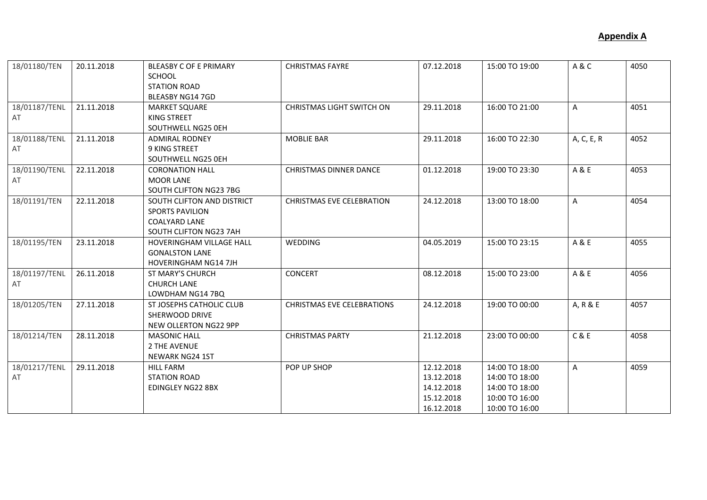| 18/01180/TEN  | 20.11.2018 | <b>BLEASBY C OF E PRIMARY</b><br><b>SCHOOL</b> | <b>CHRISTMAS FAYRE</b>            | 07.12.2018 | 15:00 TO 19:00 | A&C          | 4050 |
|---------------|------------|------------------------------------------------|-----------------------------------|------------|----------------|--------------|------|
|               |            | <b>STATION ROAD</b>                            |                                   |            |                |              |      |
|               |            | BLEASBY NG14 7GD                               |                                   |            |                |              |      |
| 18/01187/TENL | 21.11.2018 | <b>MARKET SQUARE</b>                           | <b>CHRISTMAS LIGHT SWITCH ON</b>  | 29.11.2018 | 16:00 TO 21:00 | $\mathsf{A}$ | 4051 |
| AT            |            | <b>KING STREET</b>                             |                                   |            |                |              |      |
|               |            | SOUTHWELL NG25 OEH                             |                                   |            |                |              |      |
| 18/01188/TENL | 21.11.2018 | <b>ADMIRAL RODNEY</b>                          | <b>MOBLIE BAR</b>                 | 29.11.2018 | 16:00 TO 22:30 | A, C, E, R   | 4052 |
| AT            |            | <b>9 KING STREET</b>                           |                                   |            |                |              |      |
|               |            | SOUTHWELL NG25 0EH                             |                                   |            |                |              |      |
| 18/01190/TENL | 22.11.2018 | <b>CORONATION HALL</b>                         | <b>CHRISTMAS DINNER DANCE</b>     | 01.12.2018 | 19:00 TO 23:30 | A & E        | 4053 |
| AT            |            | <b>MOOR LANE</b>                               |                                   |            |                |              |      |
|               |            | SOUTH CLIFTON NG23 7BG                         |                                   |            |                |              |      |
| 18/01191/TEN  | 22.11.2018 | SOUTH CLIFTON AND DISTRICT                     | <b>CHRISTMAS EVE CELEBRATION</b>  | 24.12.2018 | 13:00 TO 18:00 | $\mathsf{A}$ | 4054 |
|               |            | <b>SPORTS PAVILION</b>                         |                                   |            |                |              |      |
|               |            | <b>COALYARD LANE</b>                           |                                   |            |                |              |      |
|               |            | SOUTH CLIFTON NG23 7AH                         |                                   |            |                |              |      |
| 18/01195/TEN  | 23.11.2018 | HOVERINGHAM VILLAGE HALL                       | <b>WEDDING</b>                    | 04.05.2019 | 15:00 TO 23:15 | A & E        | 4055 |
|               |            | <b>GONALSTON LANE</b>                          |                                   |            |                |              |      |
|               |            | <b>HOVERINGHAM NG14 7JH</b>                    |                                   |            |                |              |      |
| 18/01197/TENL | 26.11.2018 | ST MARY'S CHURCH                               | <b>CONCERT</b>                    | 08.12.2018 | 15:00 TO 23:00 | A & E        | 4056 |
| AT            |            | <b>CHURCH LANE</b>                             |                                   |            |                |              |      |
|               |            | LOWDHAM NG14 7BQ                               |                                   |            |                |              |      |
| 18/01205/TEN  | 27.11.2018 | ST JOSEPHS CATHOLIC CLUB                       | <b>CHRISTMAS EVE CELEBRATIONS</b> | 24.12.2018 | 19:00 TO 00:00 | A, R & E     | 4057 |
|               |            | SHERWOOD DRIVE                                 |                                   |            |                |              |      |
|               |            | NEW OLLERTON NG22 9PP                          |                                   |            |                |              |      |
| 18/01214/TEN  | 28.11.2018 | <b>MASONIC HALL</b>                            | <b>CHRISTMAS PARTY</b>            | 21.12.2018 | 23:00 TO 00:00 | C & E        | 4058 |
|               |            | 2 THE AVENUE                                   |                                   |            |                |              |      |
|               |            | <b>NEWARK NG24 1ST</b>                         |                                   |            |                |              |      |
| 18/01217/TENL | 29.11.2018 | <b>HILL FARM</b>                               | POP UP SHOP                       | 12.12.2018 | 14:00 TO 18:00 | A            | 4059 |
| AT            |            | <b>STATION ROAD</b>                            |                                   | 13.12.2018 | 14:00 TO 18:00 |              |      |
|               |            | EDINGLEY NG22 8BX                              |                                   | 14.12.2018 | 14:00 TO 18:00 |              |      |
|               |            |                                                |                                   | 15.12.2018 | 10:00 TO 16:00 |              |      |
|               |            |                                                |                                   | 16.12.2018 | 10:00 TO 16:00 |              |      |